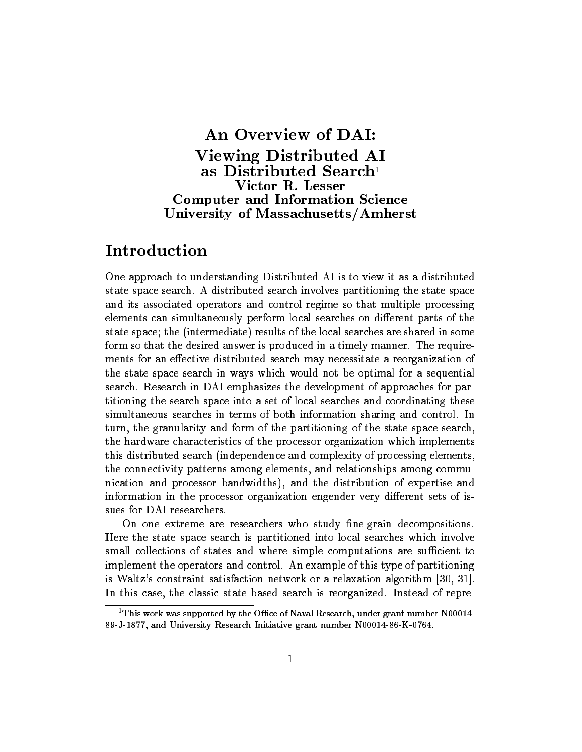# Viewing Distributed AI as Distributed Search Victor R. Lesser Computer and Information Science University of Massachusetts/Amherst

### Introduction

One approach to understanding Distributed AI is to view it as a distributed state space search- A distributed search involves partitioning the state space and its associated operators and control regime so that multiple processing elements can simultaneously perform local searches on different parts of the state space; the (intermediate) results of the local searches are shared in some form so that the desired answer is produced in a timely manner- The require ments for an effective distributed search may necessitate a reorganization of the state space search in ways which would not be optimal for a sequential search- Research in DAI emphasizes the development of approaches for par titioning the search space into a set of local searches and coordinating these simultaneous searches in terms of both information sharing and control- In turn, the granularity and form of the partitioning of the state space search, the hardware characteristics of the processor organization which implements this distributed search independence and complexity of processing elements the connectivity patterns among elements, and relationships among communication and processor bandwidths), and the distribution of expertise and information in the processor organization engender very different sets of issues for DAI researchers.

On one extreme are researchers who study fine-grain decompositions. Here the state space search is partitioned into local searches which involve small collections of states and where simple computations are su cient to implement the operators and control- An example of this type of partitioning is Waltz's constraint satisfaction network or a relaxation algorithm  $[30, 31]$ . In this case the classic state based search is reorganized- Instead of repre

This work was supported by the Office of Naval Research. under grant number N00014os-s-rori, and Oniversity Research Initiative grant number N00011-00-K-0101.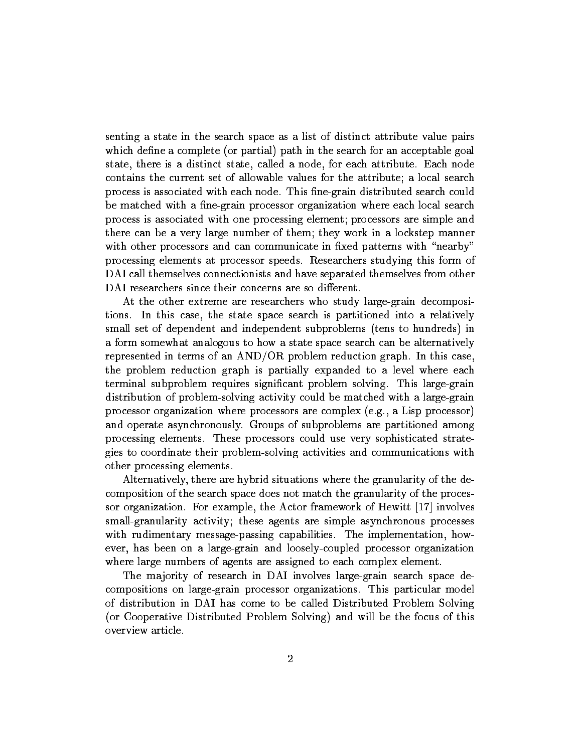senting a state in the search space as a list of distinct attribute value pairs which define a complete (or partial) path in the search for an acceptable goal state there is a distinct state called a node for each attribute- Each node contains the current set of allowable values for the attribute; a local search process is associated with each node-this is associated with each node-this is a mode-this could be a mode-this is be matched with a fine-grain processor organization where each local search process is associated with one processing element; processors are simple and there can be a very large number of them; they work in a lockstep manner with other processors and can communicate in fixed patterns with "nearby" processing elements at processor speeds- Researchers studying this form of DAI call themselves connectionists and have separated themselves from other DAI researchers since their concerns are so different.

At the other extreme are researchers who study large-grain decompositions- In this case the state space search is partitioned into a relatively small set of dependent and independent subproblems (tens to hundreds) in a form somewhat analogous to how a state space search can be alternatively represented in terms of an ANDOR problem reduction graph- In this case the problem reduction graph is partially expanded to a level where each terminal subproblem requires significant problem solving- single-grain  $\sim$ distribution of problem-solving activity could be matched with a large-grain processor organization where processors are complex e-g- a Lisp processor and operate asymptomially-distinguishing-partitioned and partitioned among the processing elements- ------- processors could use very sophisticated strate. gies to coordinate their problemsolving activities and communications with other processing elements.

Alternatively, there are hybrid situations where the granularity of the decomposition of the search space does not match the granularity of the proces sor organization- For example the Actor framework of Hewitt  involves small-granularity activity; these agents are simple asynchronous processes with rudimentary messagepassing capabilities-  $\mathbf{M}$  and implementation how in planetation how in the implementation how in ever, has been on a large-grain and loosely-coupled processor organization where large numbers of agents are assigned to each complex element.

The majority of research in DAI involves large-grain search space decompositions on largely compositions-between processor organizations-between processor organizations-between p of distribution in DAI has come to be called Distributed Problem Solving (or Cooperative Distributed Problem Solving) and will be the focus of this overview article.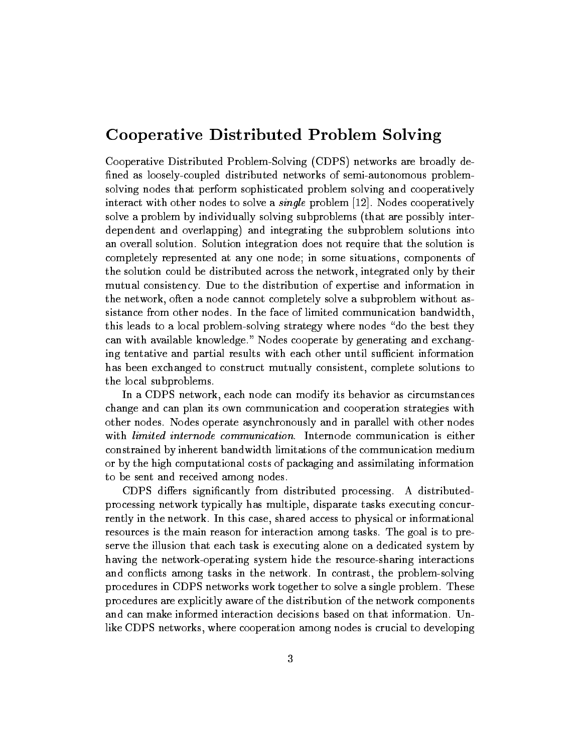#### Cooperative Distributed Problem Solving

Cooperative Distributed Problem-Solving (CDPS) networks are broadly defined as loosely-coupled distributed networks of semi-autonomous problemsolving nodes that perform sophisticated problem solving and cooperatively interact with other nodes to solve a single problem - Nodes cooperatively solve a problem by individually solving subproblems (that are possibly interdependent and overlapping) and integrating the subproblem solutions into an overall solution- Solution integration does not require that the solution is completely represented at any one node; in some situations, components of the solution could be distributed across the network integrated only by their mutual consistency- Due to the distribution of expertise and information in the network often a node cannot completely solve a subproblem without as sistance from other nodes- In the face of limited communication bandwidth this leads to a local problem-solving strategy where nodes "do the best they can with available cooperate cooperate by generating and exchange ing tentative and partial results with each other until su cient information has been exchanged to construct mutually consistent, complete solutions to the local subproblems.

In a CDPS network, each node can modify its behavior as circumstances change and can plan its own communication and cooperation strategies with other nodes- Nodes operate asynchronously and in parallel with other nodes constrained by inherent bandwidth limitations of the communication medium or by the high computational costs of packaging and assimilating information to be sent and received among nodes.

<u> CDPS die die regeneralisie in die distributed processing</u>. Die distributed by processing network typically has multiple disparate tasks executing concur rently in this case the network-shared access to physical or information or information  $\mathcal{L}$ resources is the main reason for interaction among tasks- The goal is to pre serve the illusion that each task is executing alone on a dedicated system by having the network-operating system hide the resource-sharing interactions and contrast the network- in the network- in the network-problems of the  $\pi$ procedures in CDPS networks work together to solve a single problem- These procedures are explicitly aware of the distribution of the network components like CDPS networks, where cooperation among nodes is crucial to developing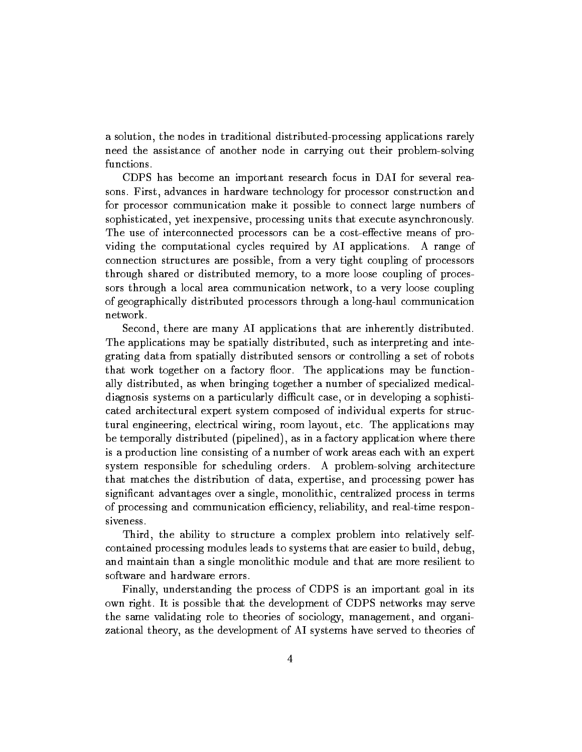a solution, the nodes in traditional distributed-processing applications rarely need the assistance of another node in carrying out their problemsolving functions.

CDPS has become an important research focus in DAI for several rea sons- First advances in hardware technology for processor construction and for processor communication make it possible to connect large numbers of sophisticated, yet inexpensive, processing units that execute asynchronously. The use of interconnected processors can be a cost-effective means of providing the computational cycles required by AI applications- A range of connection structures are possible from a very tight coupling of processors through shared or distributed memory to a more loose coupling of proces sors through a local area communication network to a very loose coupling of geographically distributed processors through a longhaul communication network.

Second, there are many AI applications that are inherently distributed. The applications may be spatially distributed, such as interpreting and integrating data from spatially distributed sensors or controlling a set of robots that work together on a factory oor- The applications may be function ally distributed, as when bringing together a number of specialized medicaldiagnosis systems on a particularly diagnosis on a particularly a sophistic case of  $\alpha$ cated architectural expert system composed of individual experts for struc tural engineering electrical wiring room layout etc. The processions may provide the complete  $\mathcal{L}$ be temporally distributed (pipelined), as in a factory application where there is a production line consisting of a number of work areas each with an expert system responsible for scheduling orders- A problemsolving architecture that matches the distribution of data, expertise, and processing power has significant advantages over a single, monolithic, centralized process in terms of processing and communication e ciency reliability and realtime respon siveness.

Third, the ability to structure a complex problem into relatively selfcontained processing modules leads to systems that are easier to build, debug, and maintain than a single monolithic module and that are more resilient to software and hardware errors.

Finally, understanding the process of CDPS is an important goal in its own right- It is possible that the development of CDPS networks may serve the same validating role to theories of sociology, management, and organizational theory as the development of AI systems have served to theories of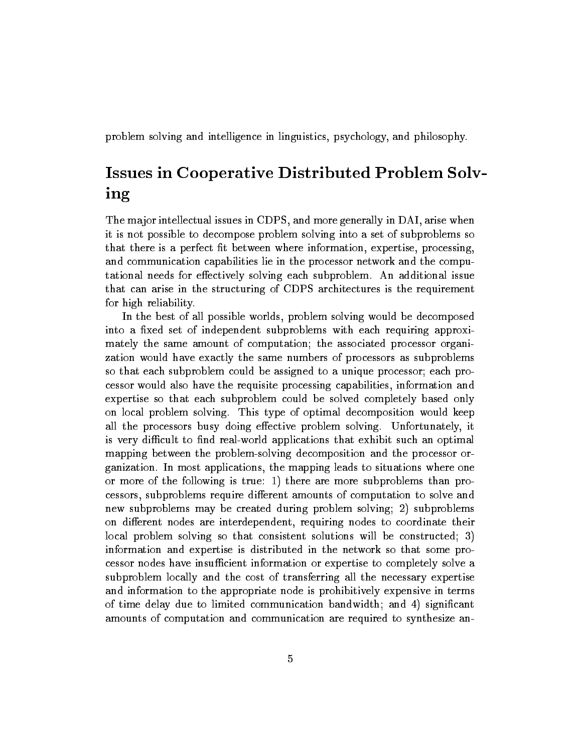problem solving and intelligence in linguistics, psychology, and philosophy.

# Issues in Cooperative Distributed Problem Solv ing

The major intellectual issues in CDPS, and more generally in DAI, arise when it is not possible to decompose problem solving into a set of subproblems so that there is a perfect fit between where information, expertise, processing, and communication capabilities lie in the processor network and the compu tational needs for eectively solving each subproblem- An additional issue that can arise in the structuring of CDPS architectures is the requirement for high reliability.

In the best of all possible worlds, problem solving would be decomposed into a fixed set of independent subproblems with each requiring approximately the same amount of computation; the associated processor organization would have exactly the same numbers of processors as subproblems so that each subproblem could be assigned to a unique processor; each processor would also have the requisite processing capabilities information and expertise so that each subproblem could be solved completely based only on local problem solving- This type of optimal decomposition would keep all the processors busy doing eective problem solving- Unfortunately it is very dimensions to change alone in that exhibit such a community such an optimal such an optimal mapping between the problemsolving decomposition and the processor or ganization- In most applications the mapping leads to situations where one or more of the following is true: 1) there are more subproblems than processors, subproblems require different amounts of computation to solve and new subproblems may be created during problem solving; 2) subproblems on different nodes are interdependent, requiring nodes to coordinate their local problem solving so that consistent solutions will be constructed; 3) information and expertise is distributed in the network so that some pro cessor actual anti-cameration or experience to completely solve and the completely solve and subproblem locally and the cost of transferring all the necessary expertise and information to the appropriate node is prohibitively expensive in terms of time delay due to limited communication bandwidth; and  $4)$  significant amounts of computation and communication are required to synthesize an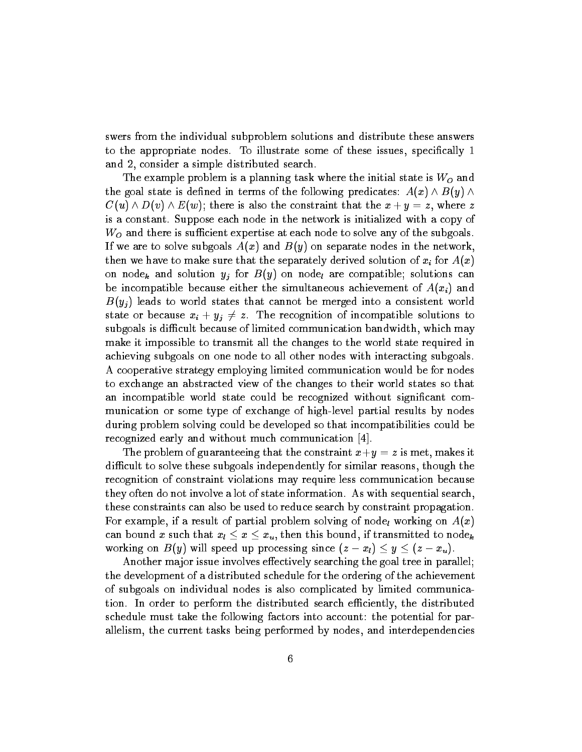swers from the individual subproblem solutions and distribute these answers to the appropriate nodes, it is indicated these is these issues specifically to and 2, consider a simple distributed search.

The example problem is a planning task where the initial state is  $W<sub>O</sub>$  and the goal state is defined in terms of the following predicates:  $A(x) \wedge B(y) \wedge$  $C(u) \wedge D(v) \wedge E(w)$ ; there is also the constraint that the  $x + y = z$ , where z is a constant-definition of the network is initially constant in the network is in the network is in the network is in wo and there is such the subset of the subset at each node to solve any of the subgoals-If we are to solve subgoals  $A(x)$  and  $B(y)$  on separate nodes in the network, then we have to make sure that the separately derived solution of  $x_i$  for  $A(x)$ on node<sub>k</sub> and solution  $y_j$  for  $B(y)$  on node<sub>l</sub> are compatible; solutions can be incompatible because either the simultaneous achievement of  $A(x_i)$  and  $B(y_i)$  leads to world states that cannot be merged into a consistent world state or because  $x_i$  ,  $y_i$  / and recognition of incompatible solutions to subgoals is di cult because of limited communication bandwidth which may make it impossible to transmit all the changes to the world state required in achieving subgoals on one node to all other nodes with interacting subgoals-A cooperative strategy employing limited communication would be for nodes to exchange an abstracted view of the changes to their world states so that an incompatible world state could be recognized without significant communication or some type of exchange of high-level partial results by nodes during problem solving could be developed so that incompatibilities could be recognized early and without much communication  $[4]$ .

The problem of guaranteeing that the constraint  $x+y = z$  is met, makes it diacult to solve these subgoals independently for similarly for any operators. recognition of constraint violations may require less communication because they often do not involve a lot of state information- As with sequential search these constraints can also be used to reduce search by constraint propagation-For example, if a result of partial problem solving of nodel working on  $A(x)$ can bound x such that  $x_l \leq x \leq x_u$ , then this bound, if transmitted to node<sub>k</sub> working on  $B(y)$  will speed up processing since  $(z - x_i) \leq y \leq (z - x_u)$ .

Another major issue involves effectively searching the goal tree in parallel; the development of a distributed schedule for the ordering of the achievement of subgoals on individual nodes is also complicated by limited communica tion- In order to perform the distributed search e ciently the distributed schedule must take the following factors into account: the potential for parallelism, the current tasks being performed by nodes, and interdependencies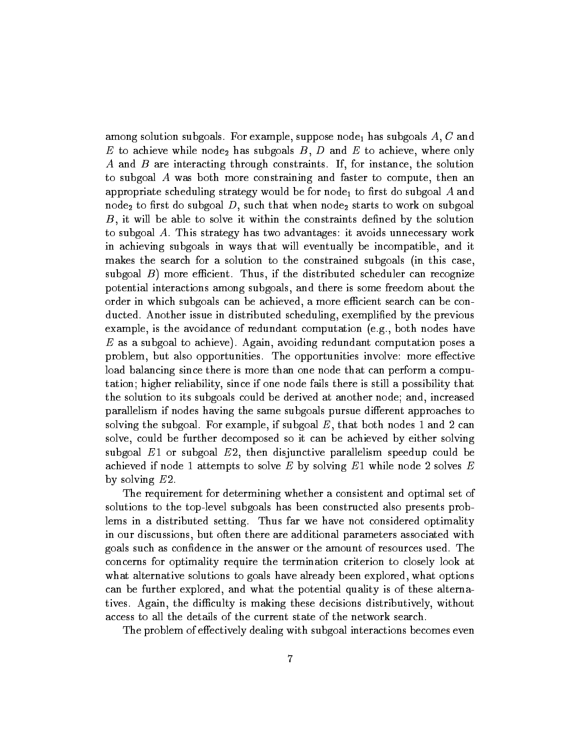among solution subgoals- substanting support support and the subgoals A C and the subgoals A C and the subgoal  $\equiv$  to accurate which and  $\mu$  and E to achieve  $\equiv$  to achieve where  $\mu$  denotes  $\mu$  $\mathbf{M}$  are interacting through constraints-instance through constraints-instance the solution  $\mathbf{M}$ to subgoal  $A$  was both more constraining and faster to compute, then an appropriate scheduling strategy would be for node<sub>1</sub> to first do subgoal  $A$  and node- to rst do subgoal D such that when node- starts to work on subgoal  $B$ , it will be able to solve it within the constraints defined by the solution to subgoal as strategy has two multiples it avoids unnecessary work in achieving subgoals in ways that will eventually be incompatible, and it makes the search for a solution to the constrained subgoals (in this case, subgoal B more e cient- Thus if the distributed scheduler can recognize potential interactions among subgoals and there is some freedom about the order in which subgoals can be achieved a more e cient search can be con addition-dependence in distributed scheduling exemplified by the previous contract  $\mathcal{A}$ example is the avoidance of redundant computation e-g- both nodes have E as a subgoal to achieve- Again avoiding redundant computation poses a problem but also opportunities- in the opportunities- and the opportunities in the opportunities of load balancing since there is more than one node that can perform a compu tation; higher reliability, since if one node fails there is still a possibility that the solution to its subgoals could be derived at another node; and, increased parallelism if nodes having the same subgoals pursue different approaches to  $\mathcal{F}$  . For example if subscription if subgoal  $\mathcal{F}$  , that if such an output  $\mathcal{F}$  and  $\mathcal{F}$ solve, could be further decomposed so it can be achieved by either solving subgoal  $E1$  or subgoal  $E2$ , then disjunctive parallelism speedup could be achieved if node 1 attempts to solve E by solving  $E1$  while node 2 solves E by solving  $E2$ .

The requirement for determining whether a consistent and optimal set of solutions to the top-level subgoals has been constructed also presents problems in a distribution setting. Thus far we have the setting-setting-problems, in our discussions, but often there are additional parameters associated with goals such as conditions on the answer or the amount of resources used- the amount of  $\mathcal{L}$ concerns for optimality require the termination criterion to closely look at what alternative solutions to goals have already been explored, what options can be further explored, and what the potential quality is of these alternatives-the distributive distributive decisions distributively distributively with the contract of the contract of access to all the details of the current state of the network search.

The problem of effectively dealing with subgoal interactions becomes even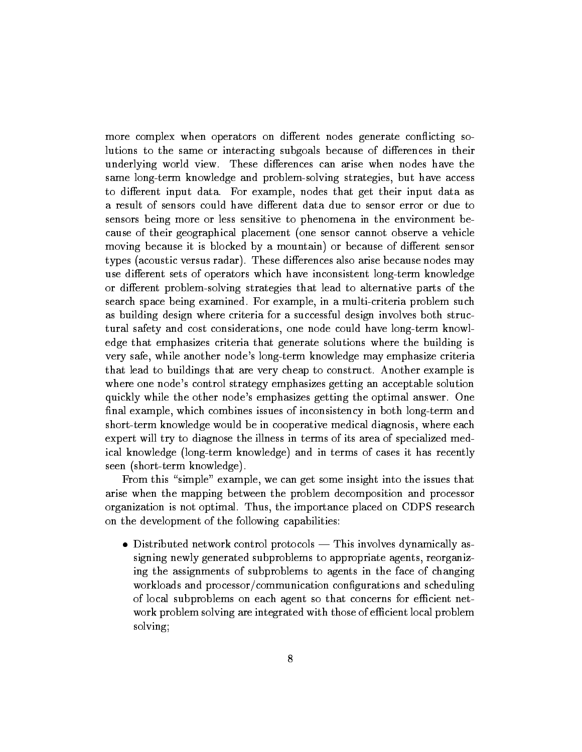more complex when operators on different nodes generate conflicting solutions to the same or interacting subgoals because of differences in their underlying world view- These dierences can arise when nodes have the same long-term knowledge and problem-solving strategies, but have access to dierent input data- For example nodes that get their input data as a result of sensors could have different data due to sensor error or due to sensors being more or less sensitive to phenomena in the environment be cause of their geographical placement (one sensor cannot observe a vehicle moving because it is blocked by a mountain) or because of different sensor types particularies versus radium plumbas also arise also arise also arise may also arrived also provided also use different sets of operators which have inconsistent long-term knowledge or different problem-solving strategies that lead to alternative parts of the search space being examined- For example in a multicriteria problem such as building design where criteria for a successful design involves both struc tural safety and cost considerations, one node could have long-term knowledge that emphasizes criteria that generate solutions where the building is very safe, while another node's long-term knowledge may emphasize criteria that lead to buildings that are very cheap to construct- Another example is where one node's control strategy emphasizes getting an acceptable solution quickly while the other nodes and compliances getting the optimal answer-case  $\sim$ final example, which combines issues of inconsistency in both long-term and short-term knowledge would be in cooperative medical diagnosis, where each expert will try to diagnose the illness in terms of its area of specialized med ical knowledge (long-term knowledge) and in terms of cases it has recently seen (short-term knowledge).

From this "simple" example, we can get some insight into the issues that arise when the mapping between the problem decomposition and processor organization is not optimal- Thus the importance placed on CDPS research on the development of the following capabilities

• Distributed network control protocols — This involves dynamically assigning newly generated subproblems to appropriate agents, reorganizing the assignments of subproblems to agents in the face of changing workloads and processor/communication configurations and scheduling of local subproblems on each agent so that concerns for e cient net work problem solving are integrated with the cient local problem solving are integrated with the cient local problem of exceptions of exceptions of exceptions of exceptions of exceptions of exceptions of exceptions of exce solving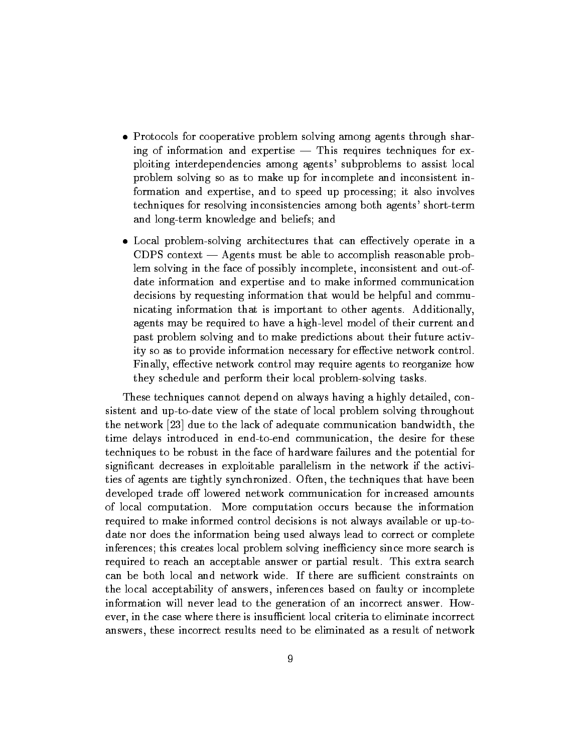- Protocols for cooperative problem solving among agents through sharing of information and expertise  $-$  This requires techniques for exploiting interdependencies among agents' subproblems to assist local problem solving so as to make up for incomplete and inconsistent in formation and expertise, and to speed up processing; it also involves techniques for resolving inconsistencies among both agents' short-term and long-term knowledge and beliefs; and
- Local problem-solving architectures that can effectively operate in a  $CDPS$  context  $-$  Agents must be able to accomplish reasonable problem solving in the face of possibly incomplete, inconsistent and out-ofdate information and expertise and to make informed communication decisions by requesting information that would be helpful and commu nicating information that is important to other agents- Additionally agents may be required to have a high-level model of their current and past problem solving and to make predictions about their future activ ity so as to provide information necessary for effective network control. Finally, effective network control may require agents to reorganize how they schedule and perform their local problem-solving tasks.

These techniques cannot depend on always having a highly detailed, consistent and up-to-date view of the state of local problem solving throughout the network  $[23]$  due to the lack of adequate communication bandwidth, the time delays introduced in end-to-end communication, the desire for these techniques to be robust in the face of hardware failures and the potential for significant decreases in exploitable parallelism in the network if the activities of agents are tightly sympathes that the techniques that have been the tech developed trade off lowered network communication for increased amounts of local computation- More computation occurs because the information required to make informed control decisions is not always available or upto date nor does the information being used always lead to correct or complete inferences this creates local problem solving ine ciency since more search is require to reach an acceptable answer or partial result-the control results search the local acceptability of answers inferences based on faulty or incomplete information will never lead to the generation of an incorrect answer- How ever in the case where there is insu cient local criteria to eliminate incorrect answers these incorrect results need to be eliminated as a result of network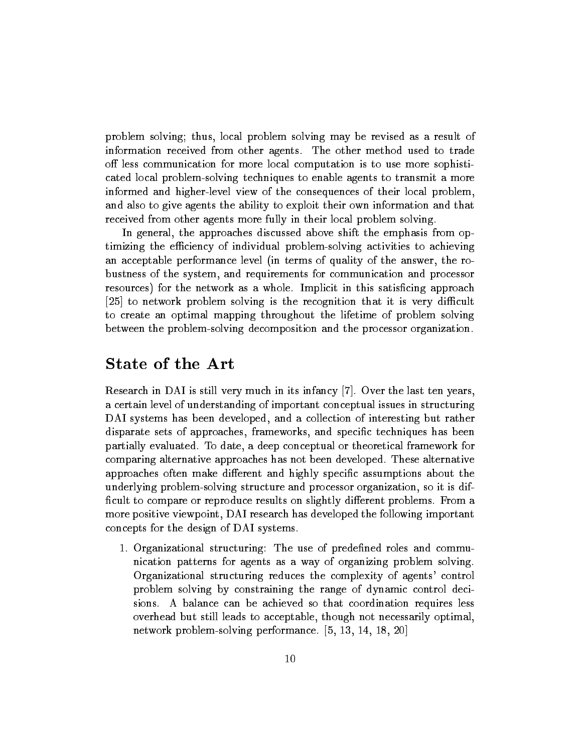problem solving thus local problem solving may be revised as a result of information received from a section of the other method used to trade off less communication for more local computation is to use more sophisticated local problemsolving techniques to enable agents to transmit a more informed and higher-level view of the consequences of their local problem, and also to give agents the ability to exploit their own information and that received from other agents more fully in their local problem solving-

In general, the approaches discussed above shift the emphasis from optimizing the e ciency of individual problemsolving activities to achieving an acceptable performance level (in terms of quality of the answer, the robustness of the system and requirements for communication and processor resources for the network as a whole- Implicit in this satis cing approach to network problem solving is the recognition that it is very different interesting in  $\mathcal{A}$ to create an optimal mapping throughout the lifetime of problem solving between the problem-solving decomposition and the processor organization.

#### State of the Art

Research in DAI is still very much in its infancy - Over the last ten years a certain level of understanding of important conceptual issues in structuring DAI systems has been developed, and a collection of interesting but rather disparate sets of approaches, frameworks, and specific techniques has been partially evaluated- To date a deep conceptual or theoretical framework for comparing alternative approaches has not been developed- not been developed alternative approaches often make different and highly specific assumptions about the underlying problem-solving structure and processor organization, so it is difculture or remainst to copies with a common the slightly dimensional problems- are not as more positive viewpoint, DAI research has developed the following important concepts for the design of DAI systems.

- Organizational structuring The use of prede ned roles and commu nication patterns for agents as a way of organizing problem solving-Organizational structuring reduces the complexity of agents' control problem solving by constraining the range of dynamic control deci sions- A balance can be achieved so that coordination requires less overhead but still leads to acceptable, though not necessarily optimal, network problemsolving performance-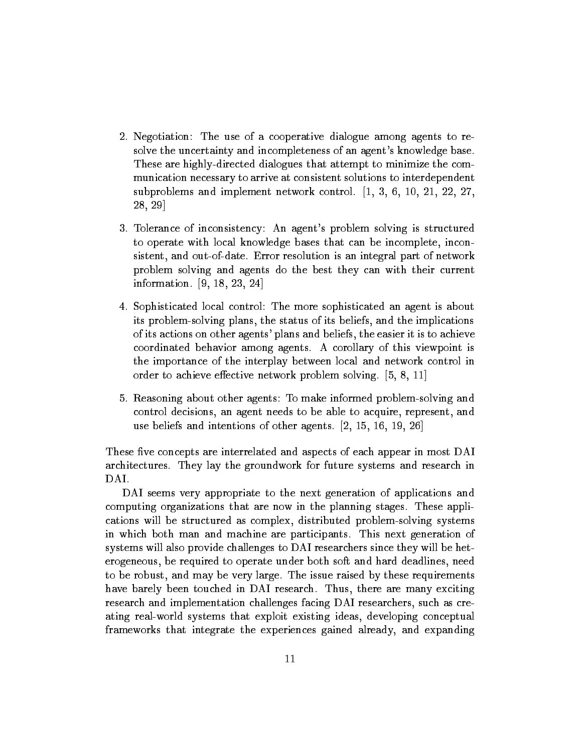- Negotiation The use of a cooperative dialogue among agents to re solve the uncertainty and incompleteness of an agent's knowledge base. These are highly-directed dialogues that attempt to minimize the communication necessary to arrive at consistent solutions to interdependent subproblems and implement network control-  
  $28, 29$
- Tolerance of inconsistency An agents problem solving is structured to operate with local knowledge bases that can be incomplete, inconsistent and outofdate- Error resolution is an integral part of network problem solving and agents do the best they can with their current information-
- -sophisticated local control The more sophisticated and more sophisticated and more sophisticated and more sophisticated and its problem-solving plans, the status of its beliefs, and the implications of its actions on other agents' plans and beliefs, the easier it is to achieve coordinated behavior among agents- A corollary of this viewpoint is the importance of the interplay between local and network control in order to achieve eective network problem solving-
- Reasoning about other agents To make informed problemsolving and control decisions, an agent needs to be able to acquire, represent, and use beliefs and intentions of other agents- experience and  $\sim$  . In the set

These five concepts are interrelated and aspects of each appear in most DAI architectures- They lay the groundwork for future systems and research in DAI.

DAI seems very appropriate to the next generation of applications and computing organizations that are now in the planning stages- These appli cations will be structured as complex, distributed problem-solving systems in which both man and machine are participants- This next generation of systems will also provide challenges to DAI researchers since they will be het erogeneous, be required to operate under both soft and hard deadlines, need to be robust and may be very large- man man raised by these requirements of the internal contracts of the second have barely been touched in DAI research- Thus there are many exciting research and implementation challenges facing DAI researchers, such as creating real-world systems that exploit existing ideas, developing conceptual frameworks that integrate the experiences gained already, and expanding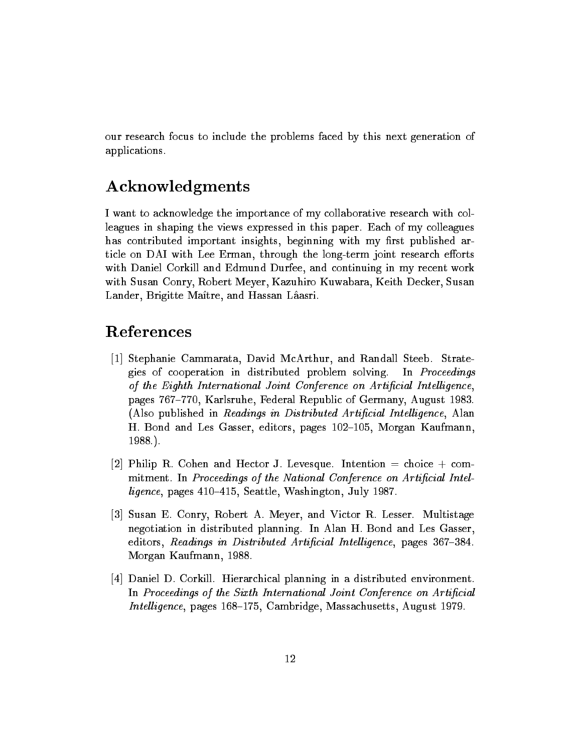our research focus to include the problems faced by this next generation of applications-

### Acknowledgments

I want to acknowledge the importance of my collaborative research with col leagues in shaping the views expressed in this paper- Each of my colleagues has contributed important insights, beginning with my first published article on DAI with Lee Erman, through the long-term joint research efforts with Daniel Corkill and Edmund Durfee, and continuing in my recent work with Susan Conry, Robert Meyer, Kazuhiro Kuwabara, Keith Decker, Susan Lander, Brigitte Maître, and Hassan Lâasri.

### References

- Stephanie Cammarata David McArthur and Randall Steeb- Strate gies of cooperation in distributed problem solving- In Proceedings of the Eighth International Joint Conference on Arti-cial Intelligence pages 767-770, Karlsruhe, Federal Republic of Germany, August 1983. Also published in Readings in Distributed Arti-cial Intel ligence Alan H- Bond and Les Gasser editors pages " Morgan Kaufmann --
- , and Hertograph and Hector Johnson Jacques and Hertograph and Hertograph and Hertograph and Hertograph and He mitment- In Proceedings of the National Conference on Arti-cial Intel  $ligence$ , pages  $410-415$ , Seattle, Washington, July 1987.
- , we have an our properties and victor and victor and and service and measurement of the service of the service of the service of the service of the service of the service of the service of the service of the service of th negotiation in distributed planning- on frame in Alan H-alan H-alan H-ala editors Readings in Distributed Arti-cial Intel ligence pages 
"
-Morgan Kaufmann, 1988.
- Daniel D- Corkill- Hierarchical planning in a distributed environment-In Proceedings of the Sixth International Joint Conference on Arti-cial  $Intelligence$ , pages  $168-175$ , Cambridge, Massachusetts, August 1979.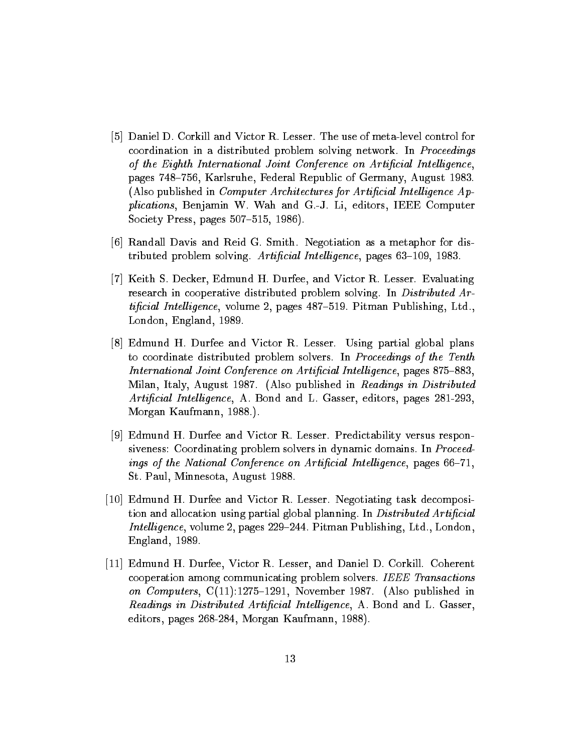- Daniel D- Corkill and Victor R- Lesser- The use of metalevel control for coordination in a distribution problem solving network-the coordination in  $\mathcal{L}_{\mathcal{A}}$ of the Eighth International Joint Conference on Arti-cial Intelligence pages 748–756, Karlsruhe, Federal Republic of Germany, August 1983. Also published in Computer Architectures for Arti-cial Intel ligence Ap plications Benjamin W- Wah and G-J- Li editors IEEE Computer Society Press, pages  $507-515$ , 1986).
- Randall Davis and Reid G- Smith- Negotiation as a metaphor for dis tributed problem solving-ligence pages in the solving-ligence pages of the solving-ligence pages in the solving-
- Keith S- Decker Edmund H- Durfee and Victor R- Lesser- Evaluating research in cooperative distributed problem solving- In Distributed Ar ti-cial Intelligence volume pages "- Pitman Publishing Ltd- London, England, 1989.
- Edmund H- Durfee and Victor R- Lesser- Using partial global plans to coordinate distributed problem solvers- In Proceedings of the Tenth International Joint Conference on Arti-cial Intel ligence pages " Milan Italy August - Also published in Readings in Distributed Arti-cial Intel ligence A- Bond and L- Gasser editors pages Morgan Kaufmann --
- Edmund H- Durfee and Victor R- Lesser- Predictability versus respon siveness. Coordinating problem solvers in dynamics domains- in district. ings of the National Conference on Arti-cial Intelligence pages " St- Paul Minnesota August -
- e die bestehend die deur de victor van die deel die stelling task decomposition of the second of the second of tion and allocation using particular planning- in Distribution is  $\mathcal{L}$ Intel ligence volume pages "- Pitman Publishing Ltd- London  $England$ , 1989.
- e die bestehend die Victor Roman victor Roman von Daniel D-V-Steinen von Daniel D-V-Steine der D-V-Steine von cooperation among communicating problem solvers- IEEE Transactions on computers clearly and increased are an increased published in Readings in Distributed Arti-cial Intel ligence A- Bond and L- Gasser editors, pages 268-284, Morgan Kaufmann, 1988).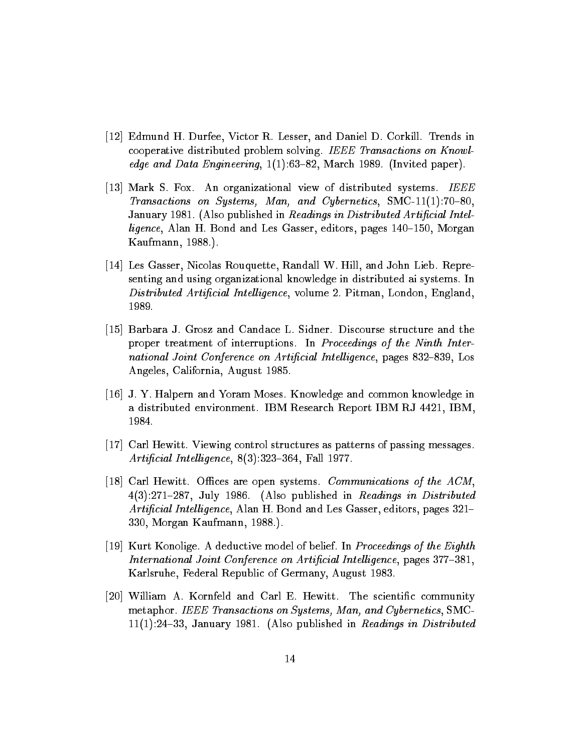- , and Daniel D-Corkiel D-Corkiel D-Corkiel D-Corkiel D-Corkiel D-Corkiel D-Corkiel D-Corkiel D-Corkiel D-Corkie cooperative distribution problem solving- iEEE Transactions on Know lines. edge and Data Engineering 
" March - Invited paper-
- Mark S- Fox- An organizational view of distributed systems- IEEE Transactions on Systems, Man, and Cybernetics,  $SMC-11(1):70-80$ , January - Also published in Readings in Distributed Arti-cial Intel ligence Alan H- Bond and Les Gasser editors pages " Morgan kaufmann - Annan - Annan - Annan - Annan - Annan - Annan - Annan - Annan - Annan - Annan - Annan - Annan - Ann
- Les Gasser Nicolas Rouquette Randall W- Hill and John Lieb- Repre senting and using organizational knowledge in distributed ai systems- In Distributed Arti-cial Intel ligence volume - Pitman London England 1989.
- Barbara J- Grosz and Candace L- Sidner- Discourse structure and the proper treatment of interruptions-interruptions-interruptions-interruptions-interruptions-interruptions-interr national Joint Conference on Arti-cial Intelligence pages 
"
 Los Angeles, California, August 1985.
- J- Y- Halpern and Yoram Moses- Knowledge and common knowledge in a distributed environment-burger and distributed environment-burger and distributed environment-burger and dis 1984.
- Carl Hewitt- Viewing control structures as patterns of passing messagesarticle intel ligence in the circuit contract of the contract of the contract of the contract of the contract o
- , and communications of the ACM and ACM and the ACM and ACM and ACM and ACM and ACM and ACM and ACM and ACM an " July - Also published in Readings in Distributed Arti-cial Intel ligence Alan H- Bond and Les Gasser editors pages 
" Morgan Kaufmann --
- Kurt Konolige- A deductive model of belief- In Proceedings of the Eighth International Joint Conference on Arti-cial Intel ligence pages 
" Karlsruhe, Federal Republic of Germany, August 1983.
- William A- Kornfeld and Carl E- Hewitt- The scienti c community metaphore-communications on Systems, Man and Systems Man and "

 January - Also published in Readings in Distributed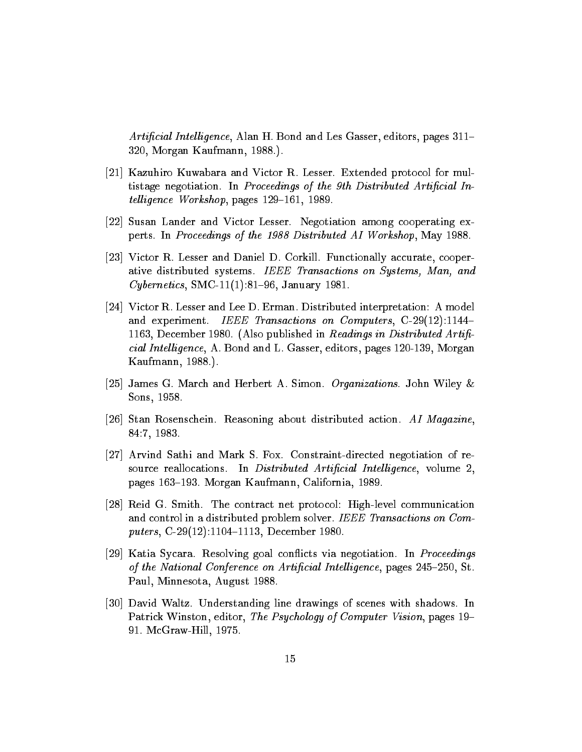Arti-cial Intel ligence Alan H- Bond and Les Gasser editors pages 
" Morgan Kaufmann --

- Kazuhiro Kuwabara and Victor R- Lesser- Extended protocol for mul tistage in proceedings of the the the third process of the the theory of the theory of the theory of the theory  $telligence \ Workshop, pages 129-161, 1989.$
- Susan Lander and Victor Lesser- Negotiation among cooperating ex perts- In Proceedings of the Distributed AI Workshop May -
- Victor R- Lesser and Daniel D- Corkill- Functionally accurate cooper ative distributions on  $\mathbf{H} = \mathbf{H} \mathbf{H}$  and  $\mathbf{H} = \mathbf{H} \mathbf{H}$  and  $\mathbf{H} = \mathbf{H} \mathbf{H}$  $Cybernetics$ , SMC-11(1):81-96, January 1981.
- Victor R- Lesser and Lee D- Erman- Distributed interpretation A model and experiment. IEEE Transactions on Computers,  $C-29(12):1144-$  December - Also published in Readings in Distributed Arti cial Intel ligence A- Bond and L- Gasser editors pages 
 Morgan kaufmann - Annan - Annan - Annan - Annan - Annan - Annan - Annan - Annan - Annan - Annan - Annan - Annan - Ann
- James G- March and Herbert A- Simon- Organizations- John Wiley # Sons, 1958.
- Stan Rosenschein- Reasoning about distributed action- AI Magazine 84:7, 1983.
- Arvind Sathi and Mark S- Fox- Constraintdirected negotiation of re source reallocations-between  $\mathbf I$  in Distributed Articles and  $\mathbf I$ pages and and management and manufacturing and control
- rei contract net protocol de contract net protocol Highler communication and the communication of the communication and control in a distributed problem solver- IEEE Transactions on Com puters,  $C-29(12):1104-1113$ , December 1980.
- Katia Sycara- Resolving goal conicts via negotiation- In Proceedings of the National Conference on Arti-cial Intelligence pages " St-Paul, Minnesota, August 1988.
- David Waltz- Understanding line drawings of scenes with shadows- In Patrick Winston, editor, The Psychology of Computer Vision, pages 19– - McGrawHill -